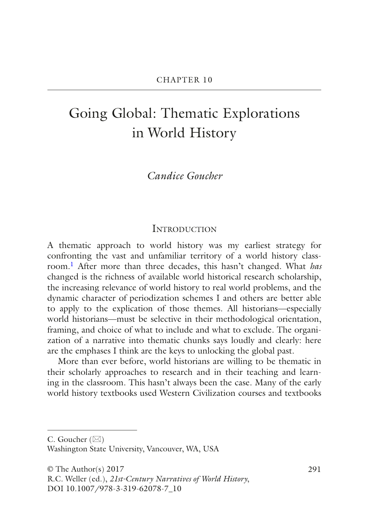# Going Global: Thematic Explorations in World History

# *Candice Goucher*

### **INTRODUCTION**

A thematic approach to world history was my earliest strategy for confronting the vast and unfamiliar territory of a world history classroom.[1](#page-23-0) After more than three decades, this hasn't changed. What *has* changed is the richness of available world historical research scholarship, the increasing relevance of world history to real world problems, and the dynamic character of periodization schemes I and others are better able to apply to the explication of those themes. All historians—especially world historians—must be selective in their methodological orientation, framing, and choice of what to include and what to exclude. The organization of a narrative into thematic chunks says loudly and clearly: here are the emphases I think are the keys to unlocking the global past.

More than ever before, world historians are willing to be thematic in their scholarly approaches to research and in their teaching and learning in the classroom. This hasn't always been the case. Many of the early world history textbooks used Western Civilization courses and textbooks

© The Author(s) 2017 R.C. Weller (ed.), *21st-Century Narratives of World History*, DOI 10.1007/978-3-319-62078-7\_10

C. Goucher  $(\boxtimes)$ 

Washington State University, Vancouver, WA, USA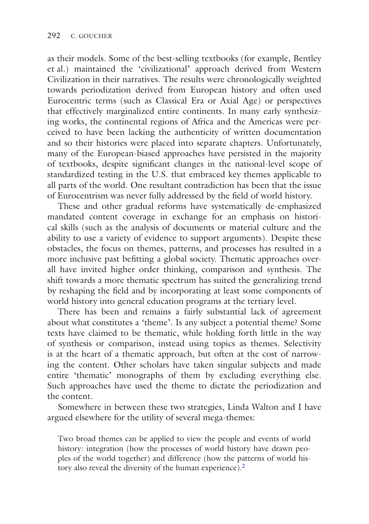as their models. Some of the best-selling textbooks (for example, Bentley et al.) maintained the 'civilizational' approach derived from Western Civilization in their narratives. The results were chronologically weighted towards periodization derived from European history and often used Eurocentric terms (such as Classical Era or Axial Age) or perspectives that effectively marginalized entire continents. In many early synthesizing works, the continental regions of Africa and the Americas were perceived to have been lacking the authenticity of written documentation and so their histories were placed into separate chapters. Unfortunately, many of the European-biased approaches have persisted in the majority of textbooks, despite signifcant changes in the national-level scope of standardized testing in the U.S. that embraced key themes applicable to all parts of the world. One resultant contradiction has been that the issue of Eurocentrism was never fully addressed by the feld of world history.

These and other gradual reforms have systematically de-emphasized mandated content coverage in exchange for an emphasis on historical skills (such as the analysis of documents or material culture and the ability to use a variety of evidence to support arguments). Despite these obstacles, the focus on themes, patterns, and processes has resulted in a more inclusive past beftting a global society. Thematic approaches overall have invited higher order thinking, comparison and synthesis. The shift towards a more thematic spectrum has suited the generalizing trend by reshaping the feld and by incorporating at least some components of world history into general education programs at the tertiary level.

There has been and remains a fairly substantial lack of agreement about what constitutes a 'theme'. Is any subject a potential theme? Some texts have claimed to be thematic, while holding forth little in the way of synthesis or comparison, instead using topics as themes. Selectivity is at the heart of a thematic approach, but often at the cost of narrowing the content. Other scholars have taken singular subjects and made entire 'thematic' monographs of them by excluding everything else. Such approaches have used the theme to dictate the periodization and the content.

Somewhere in between these two strategies, Linda Walton and I have argued elsewhere for the utility of several mega-themes:

Two broad themes can be applied to view the people and events of world history: integration (how the processes of world history have drawn peoples of the world together) and difference (how the patterns of world history also reveal the diversity of the human experience)[.2](#page-23-0)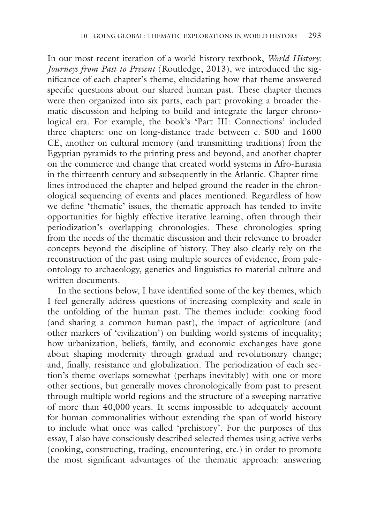In our most recent iteration of a world history textbook, *World History: Journeys from Past to Present* (Routledge, 2013), we introduced the signifcance of each chapter's theme, elucidating how that theme answered specifc questions about our shared human past. These chapter themes were then organized into six parts, each part provoking a broader thematic discussion and helping to build and integrate the larger chronological era. For example, the book's 'Part III: Connections' included three chapters: one on long-distance trade between c. 500 and 1600 CE, another on cultural memory (and transmitting traditions) from the Egyptian pyramids to the printing press and beyond, and another chapter on the commerce and change that created world systems in Afro-Eurasia in the thirteenth century and subsequently in the Atlantic. Chapter timelines introduced the chapter and helped ground the reader in the chronological sequencing of events and places mentioned. Regardless of how we defne 'thematic' issues, the thematic approach has tended to invite opportunities for highly effective iterative learning, often through their periodization's overlapping chronologies. These chronologies spring from the needs of the thematic discussion and their relevance to broader concepts beyond the discipline of history. They also clearly rely on the reconstruction of the past using multiple sources of evidence, from paleontology to archaeology, genetics and linguistics to material culture and written documents.

In the sections below, I have identifed some of the key themes, which I feel generally address questions of increasing complexity and scale in the unfolding of the human past. The themes include: cooking food (and sharing a common human past), the impact of agriculture (and other markers of 'civilization') on building world systems of inequality; how urbanization, beliefs, family, and economic exchanges have gone about shaping modernity through gradual and revolutionary change; and, fnally, resistance and globalization. The periodization of each section's theme overlaps somewhat (perhaps inevitably) with one or more other sections, but generally moves chronologically from past to present through multiple world regions and the structure of a sweeping narrative of more than 40,000 years. It seems impossible to adequately account for human commonalities without extending the span of world history to include what once was called 'prehistory'. For the purposes of this essay, I also have consciously described selected themes using active verbs (cooking, constructing, trading, encountering, etc.) in order to promote the most signifcant advantages of the thematic approach: answering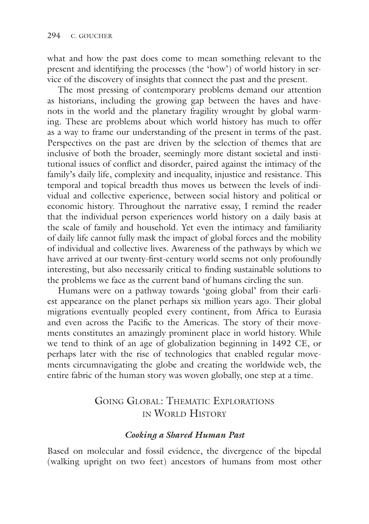what and how the past does come to mean something relevant to the present and identifying the processes (the 'how') of world history in service of the discovery of insights that connect the past and the present.

The most pressing of contemporary problems demand our attention as historians, including the growing gap between the haves and havenots in the world and the planetary fragility wrought by global warming. These are problems about which world history has much to offer as a way to frame our understanding of the present in terms of the past. Perspectives on the past are driven by the selection of themes that are inclusive of both the broader, seemingly more distant societal and institutional issues of confict and disorder, paired against the intimacy of the family's daily life, complexity and inequality, injustice and resistance. This temporal and topical breadth thus moves us between the levels of individual and collective experience, between social history and political or economic history. Throughout the narrative essay, I remind the reader that the individual person experiences world history on a daily basis at the scale of family and household. Yet even the intimacy and familiarity of daily life cannot fully mask the impact of global forces and the mobility of individual and collective lives. Awareness of the pathways by which we have arrived at our twenty-frst-century world seems not only profoundly interesting, but also necessarily critical to fnding sustainable solutions to the problems we face as the current band of humans circling the sun.

Humans were on a pathway towards 'going global' from their earliest appearance on the planet perhaps six million years ago. Their global migrations eventually peopled every continent, from Africa to Eurasia and even across the Pacifc to the Americas. The story of their movements constitutes an amazingly prominent place in world history. While we tend to think of an age of globalization beginning in 1492 CE, or perhaps later with the rise of technologies that enabled regular movements circumnavigating the globe and creating the worldwide web, the entire fabric of the human story was woven globally, one step at a time.

# Going Global: Thematic Explorations in World History

#### *Cooking a Shared Human Past*

Based on molecular and fossil evidence, the divergence of the bipedal (walking upright on two feet) ancestors of humans from most other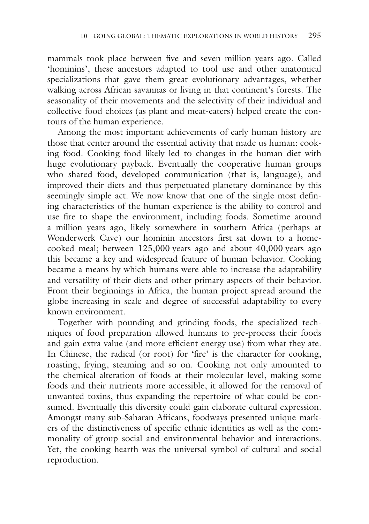mammals took place between fve and seven million years ago. Called 'hominins', these ancestors adapted to tool use and other anatomical specializations that gave them great evolutionary advantages, whether walking across African savannas or living in that continent's forests. The seasonality of their movements and the selectivity of their individual and collective food choices (as plant and meat-eaters) helped create the contours of the human experience.

Among the most important achievements of early human history are those that center around the essential activity that made us human: cooking food. Cooking food likely led to changes in the human diet with huge evolutionary payback. Eventually the cooperative human groups who shared food, developed communication (that is, language), and improved their diets and thus perpetuated planetary dominance by this seemingly simple act. We now know that one of the single most defning characteristics of the human experience is the ability to control and use fre to shape the environment, including foods. Sometime around a million years ago, likely somewhere in southern Africa (perhaps at Wonderwerk Cave) our hominin ancestors first sat down to a homecooked meal; between 125,000 years ago and about 40,000 years ago this became a key and widespread feature of human behavior. Cooking became a means by which humans were able to increase the adaptability and versatility of their diets and other primary aspects of their behavior. From their beginnings in Africa, the human project spread around the globe increasing in scale and degree of successful adaptability to every known environment.

Together with pounding and grinding foods, the specialized techniques of food preparation allowed humans to pre-process their foods and gain extra value (and more efficient energy use) from what they ate. In Chinese, the radical (or root) for 'fre' is the character for cooking, roasting, frying, steaming and so on. Cooking not only amounted to the chemical alteration of foods at their molecular level, making some foods and their nutrients more accessible, it allowed for the removal of unwanted toxins, thus expanding the repertoire of what could be consumed. Eventually this diversity could gain elaborate cultural expression. Amongst many sub-Saharan Africans, foodways presented unique markers of the distinctiveness of specifc ethnic identities as well as the commonality of group social and environmental behavior and interactions. Yet, the cooking hearth was the universal symbol of cultural and social reproduction.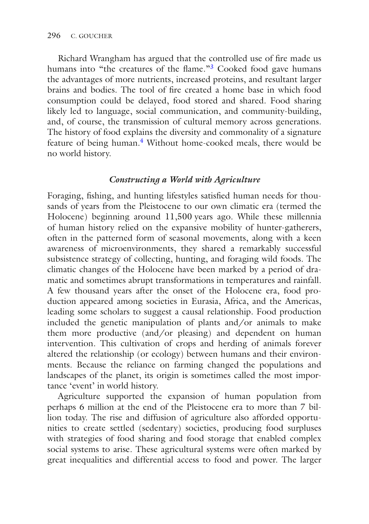Richard Wrangham has argued that the controlled use of fre made us humans into "the creatures of the flame."<sup>3</sup> Cooked food gave humans the advantages of more nutrients, increased proteins, and resultant larger brains and bodies. The tool of fre created a home base in which food consumption could be delayed, food stored and shared. Food sharing likely led to language, social communication, and community-building, and, of course, the transmission of cultural memory across generations. The history of food explains the diversity and commonality of a signature feature of being human.<sup>4</sup> Without home-cooked meals, there would be no world history.

## *Constructing a World with Agriculture*

Foraging, fshing, and hunting lifestyles satisfed human needs for thousands of years from the Pleistocene to our own climatic era (termed the Holocene) beginning around 11,500 years ago. While these millennia of human history relied on the expansive mobility of hunter-gatherers, often in the patterned form of seasonal movements, along with a keen awareness of microenvironments, they shared a remarkably successful subsistence strategy of collecting, hunting, and foraging wild foods. The climatic changes of the Holocene have been marked by a period of dramatic and sometimes abrupt transformations in temperatures and rainfall. A few thousand years after the onset of the Holocene era, food production appeared among societies in Eurasia, Africa, and the Americas, leading some scholars to suggest a causal relationship. Food production included the genetic manipulation of plants and/or animals to make them more productive (and/or pleasing) and dependent on human intervention. This cultivation of crops and herding of animals forever altered the relationship (or ecology) between humans and their environments. Because the reliance on farming changed the populations and landscapes of the planet, its origin is sometimes called the most importance 'event' in world history.

Agriculture supported the expansion of human population from perhaps 6 million at the end of the Pleistocene era to more than 7 billion today. The rise and diffusion of agriculture also afforded opportunities to create settled (sedentary) societies, producing food surpluses with strategies of food sharing and food storage that enabled complex social systems to arise. These agricultural systems were often marked by great inequalities and differential access to food and power. The larger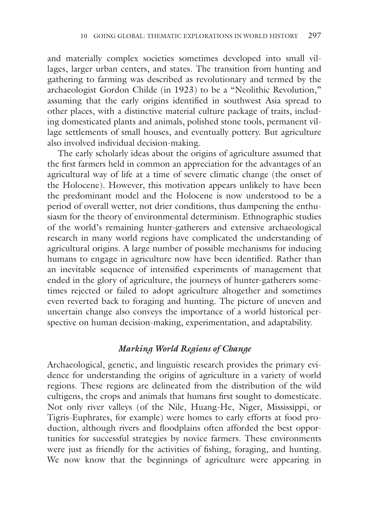and materially complex societies sometimes developed into small villages, larger urban centers, and states. The transition from hunting and gathering to farming was described as revolutionary and termed by the archaeologist Gordon Childe (in 1923) to be a "Neolithic Revolution," assuming that the early origins identifed in southwest Asia spread to other places, with a distinctive material culture package of traits, including domesticated plants and animals, polished stone tools, permanent village settlements of small houses, and eventually pottery. But agriculture also involved individual decision-making.

The early scholarly ideas about the origins of agriculture assumed that the frst farmers held in common an appreciation for the advantages of an agricultural way of life at a time of severe climatic change (the onset of the Holocene). However, this motivation appears unlikely to have been the predominant model and the Holocene is now understood to be a period of overall wetter, not drier conditions, thus dampening the enthusiasm for the theory of environmental determinism. Ethnographic studies of the world's remaining hunter-gatherers and extensive archaeological research in many world regions have complicated the understanding of agricultural origins. A large number of possible mechanisms for inducing humans to engage in agriculture now have been identifed. Rather than an inevitable sequence of intensifed experiments of management that ended in the glory of agriculture, the journeys of hunter-gatherers sometimes rejected or failed to adopt agriculture altogether and sometimes even reverted back to foraging and hunting. The picture of uneven and uncertain change also conveys the importance of a world historical perspective on human decision-making, experimentation, and adaptability.

#### *Marking World Regions of Change*

Archaeological, genetic, and linguistic research provides the primary evidence for understanding the origins of agriculture in a variety of world regions. These regions are delineated from the distribution of the wild cultigens, the crops and animals that humans frst sought to domesticate. Not only river valleys (of the Nile, Huang-He, Niger, Mississippi, or Tigris-Euphrates, for example) were homes to early efforts at food production, although rivers and floodplains often afforded the best opportunities for successful strategies by novice farmers. These environments were just as friendly for the activities of fshing, foraging, and hunting. We now know that the beginnings of agriculture were appearing in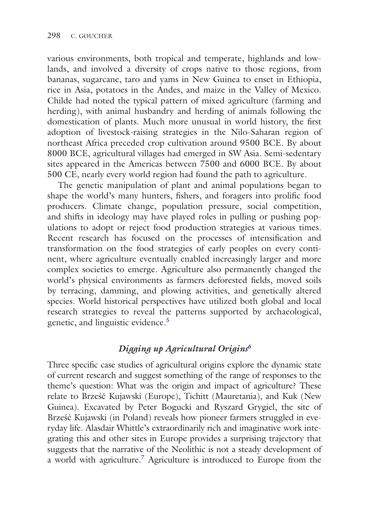various environments, both tropical and temperate, highlands and lowlands, and involved a diversity of crops native to those regions, from bananas, sugarcane, taro and yams in New Guinea to enset in Ethiopia, rice in Asia, potatoes in the Andes, and maize in the Valley of Mexico. Childe had noted the typical pattern of mixed agriculture (farming and herding), with animal husbandry and herding of animals following the domestication of plants. Much more unusual in world history, the frst adoption of livestock-raising strategies in the Nilo-Saharan region of northeast Africa preceded crop cultivation around 9500 BCE. By about 8000 BCE, agricultural villages had emerged in SW Asia. Semi-sedentary sites appeared in the Americas between 7500 and 6000 BCE. By about 500 CE, nearly every world region had found the path to agriculture.

The genetic manipulation of plant and animal populations began to shape the world's many hunters, fshers, and foragers into prolifc food producers. Climate change, population pressure, social competition, and shifts in ideology may have played roles in pulling or pushing populations to adopt or reject food production strategies at various times. Recent research has focused on the processes of intensifcation and transformation on the food strategies of early peoples on every continent, where agriculture eventually enabled increasingly larger and more complex societies to emerge. Agriculture also permanently changed the world's physical environments as farmers deforested felds, moved soils by terracing, damming, and plowing activities, and genetically altered species. World historical perspectives have utilized both global and local research strategies to reveal the patterns supported by archaeological, genetic, and linguistic evidence[.5](#page-23-0)

# *Digging up Agricultural Origins[6](#page-23-0)*

Three specifc case studies of agricultural origins explore the dynamic state of current research and suggest something of the range of responses to the theme's question: What was the origin and impact of agriculture? These relate to Brześć Kujawski (Europe), Tichitt (Mauretania), and Kuk (New Guinea). Excavated by Peter Bogucki and Ryszard Grygiel, the site of Brześć Kujawski (in Poland) reveals how pioneer farmers struggled in everyday life. Alasdair Whittle's extraordinarily rich and imaginative work integrating this and other sites in Europe provides a surprising trajectory that suggests that the narrative of the Neolithic is not a steady development of a world with agriculture.[7](#page-23-0) Agriculture is introduced to Europe from the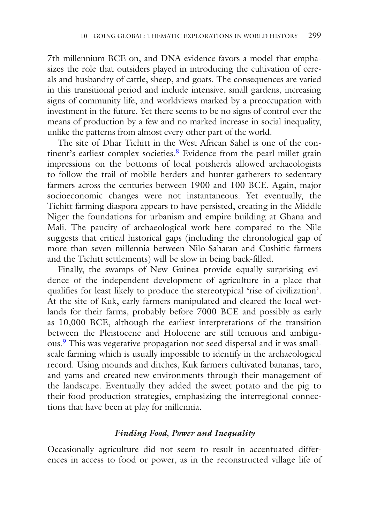7th millennium BCE on, and DNA evidence favors a model that emphasizes the role that outsiders played in introducing the cultivation of cereals and husbandry of cattle, sheep, and goats. The consequences are varied in this transitional period and include intensive, small gardens, increasing signs of community life, and worldviews marked by a preoccupation with investment in the future. Yet there seems to be no signs of control ever the means of production by a few and no marked increase in social inequality, unlike the patterns from almost every other part of the world.

The site of Dhar Tichitt in the West African Sahel is one of the continent's earliest complex societies.<sup>8</sup> Evidence from the pearl millet grain impressions on the bottoms of local potsherds allowed archaeologists to follow the trail of mobile herders and hunter-gatherers to sedentary farmers across the centuries between 1900 and 100 BCE. Again, major socioeconomic changes were not instantaneous. Yet eventually, the Tichitt farming diaspora appears to have persisted, creating in the Middle Niger the foundations for urbanism and empire building at Ghana and Mali. The paucity of archaeological work here compared to the Nile suggests that critical historical gaps (including the chronological gap of more than seven millennia between Nilo-Saharan and Cushitic farmers and the Tichitt settlements) will be slow in being back-flled.

Finally, the swamps of New Guinea provide equally surprising evidence of the independent development of agriculture in a place that qualifes for least likely to produce the stereotypical 'rise of civilization'. At the site of Kuk, early farmers manipulated and cleared the local wetlands for their farms, probably before 7000 BCE and possibly as early as 10,000 BCE, although the earliest interpretations of the transition between the Pleistocene and Holocene are still tenuous and ambiguous[.9](#page-23-0) This was vegetative propagation not seed dispersal and it was smallscale farming which is usually impossible to identify in the archaeological record. Using mounds and ditches, Kuk farmers cultivated bananas, taro, and yams and created new environments through their management of the landscape. Eventually they added the sweet potato and the pig to their food production strategies, emphasizing the interregional connections that have been at play for millennia.

#### *Finding Food, Power and Inequality*

Occasionally agriculture did not seem to result in accentuated differences in access to food or power, as in the reconstructed village life of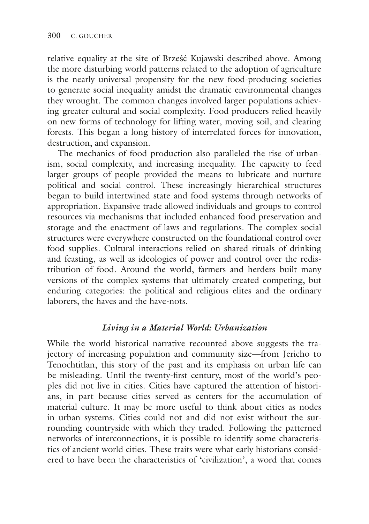relative equality at the site of Brześć Kujawski described above. Among the more disturbing world patterns related to the adoption of agriculture is the nearly universal propensity for the new food-producing societies to generate social inequality amidst the dramatic environmental changes they wrought. The common changes involved larger populations achieving greater cultural and social complexity. Food producers relied heavily on new forms of technology for lifting water, moving soil, and clearing forests. This began a long history of interrelated forces for innovation, destruction, and expansion.

The mechanics of food production also paralleled the rise of urbanism, social complexity, and increasing inequality. The capacity to feed larger groups of people provided the means to lubricate and nurture political and social control. These increasingly hierarchical structures began to build intertwined state and food systems through networks of appropriation. Expansive trade allowed individuals and groups to control resources via mechanisms that included enhanced food preservation and storage and the enactment of laws and regulations. The complex social structures were everywhere constructed on the foundational control over food supplies. Cultural interactions relied on shared rituals of drinking and feasting, as well as ideologies of power and control over the redistribution of food. Around the world, farmers and herders built many versions of the complex systems that ultimately created competing, but enduring categories: the political and religious elites and the ordinary laborers, the haves and the have-nots.

# *Living in a Material World: Urbanization*

While the world historical narrative recounted above suggests the trajectory of increasing population and community size—from Jericho to Tenochtitlan, this story of the past and its emphasis on urban life can be misleading. Until the twenty-frst century, most of the world's peoples did not live in cities. Cities have captured the attention of historians, in part because cities served as centers for the accumulation of material culture. It may be more useful to think about cities as nodes in urban systems. Cities could not and did not exist without the surrounding countryside with which they traded. Following the patterned networks of interconnections, it is possible to identify some characteristics of ancient world cities. These traits were what early historians considered to have been the characteristics of 'civilization', a word that comes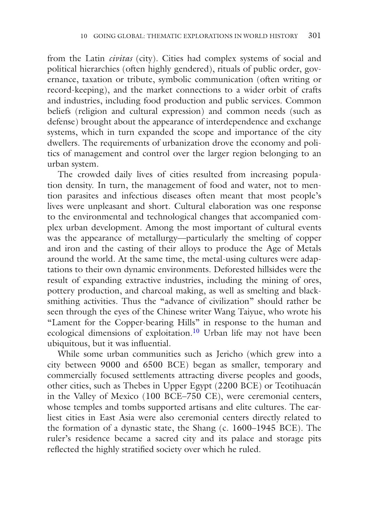from the Latin *civitas* (city). Cities had complex systems of social and political hierarchies (often highly gendered), rituals of public order, governance, taxation or tribute, symbolic communication (often writing or record-keeping), and the market connections to a wider orbit of crafts and industries, including food production and public services. Common beliefs (religion and cultural expression) and common needs (such as defense) brought about the appearance of interdependence and exchange systems, which in turn expanded the scope and importance of the city dwellers. The requirements of urbanization drove the economy and politics of management and control over the larger region belonging to an urban system.

The crowded daily lives of cities resulted from increasing population density. In turn, the management of food and water, not to mention parasites and infectious diseases often meant that most people's lives were unpleasant and short. Cultural elaboration was one response to the environmental and technological changes that accompanied complex urban development. Among the most important of cultural events was the appearance of metallurgy—particularly the smelting of copper and iron and the casting of their alloys to produce the Age of Metals around the world. At the same time, the metal-using cultures were adaptations to their own dynamic environments. Deforested hillsides were the result of expanding extractive industries, including the mining of ores, pottery production, and charcoal making, as well as smelting and blacksmithing activities. Thus the "advance of civilization" should rather be seen through the eyes of the Chinese writer Wang Taiyue, who wrote his "Lament for the Copper-bearing Hills" in response to the human and ecological dimensions of exploitation.<sup>10</sup> Urban life may not have been ubiquitous, but it was infuential.

While some urban communities such as Jericho (which grew into a city between 9000 and 6500 BCE) began as smaller, temporary and commercially focused settlements attracting diverse peoples and goods, other cities, such as Thebes in Upper Egypt (2200 BCE) or Teotihuacán in the Valley of Mexico (100 BCE–750 CE), were ceremonial centers, whose temples and tombs supported artisans and elite cultures. The earliest cities in East Asia were also ceremonial centers directly related to the formation of a dynastic state, the Shang (c. 1600–1945 BCE). The ruler's residence became a sacred city and its palace and storage pits refected the highly stratifed society over which he ruled.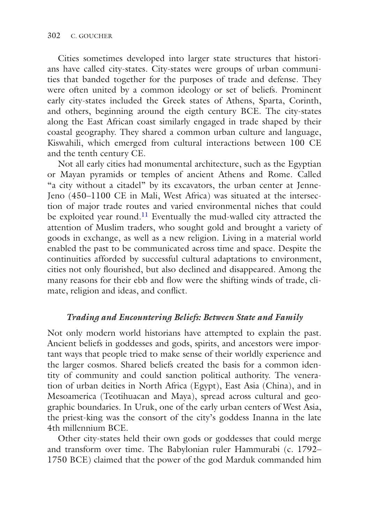Cities sometimes developed into larger state structures that historians have called city-states. City-states were groups of urban communities that banded together for the purposes of trade and defense. They were often united by a common ideology or set of beliefs. Prominent early city-states included the Greek states of Athens, Sparta, Corinth, and others, beginning around the eigth century BCE. The city-states along the East African coast similarly engaged in trade shaped by their coastal geography. They shared a common urban culture and language, Kiswahili, which emerged from cultural interactions between 100 CE and the tenth century CE.

Not all early cities had monumental architecture, such as the Egyptian or Mayan pyramids or temples of ancient Athens and Rome. Called "a city without a citadel" by its excavators, the urban center at Jenne-Jeno (450–1100 CE in Mali, West Africa) was situated at the intersection of major trade routes and varied environmental niches that could be exploited year round.<sup>11</sup> Eventually the mud-walled city attracted the attention of Muslim traders, who sought gold and brought a variety of goods in exchange, as well as a new religion. Living in a material world enabled the past to be communicated across time and space. Despite the continuities afforded by successful cultural adaptations to environment, cities not only fourished, but also declined and disappeared. Among the many reasons for their ebb and flow were the shifting winds of trade, climate, religion and ideas, and confict.

## *Trading and Encountering Beliefs: Between State and Family*

Not only modern world historians have attempted to explain the past. Ancient beliefs in goddesses and gods, spirits, and ancestors were important ways that people tried to make sense of their worldly experience and the larger cosmos. Shared beliefs created the basis for a common identity of community and could sanction political authority. The veneration of urban deities in North Africa (Egypt), East Asia (China), and in Mesoamerica (Teotihuacan and Maya), spread across cultural and geographic boundaries. In Uruk, one of the early urban centers of West Asia, the priest-king was the consort of the city's goddess Inanna in the late 4th millennium BCE.

Other city-states held their own gods or goddesses that could merge and transform over time. The Babylonian ruler Hammurabi (c. 1792– 1750 BCE) claimed that the power of the god Marduk commanded him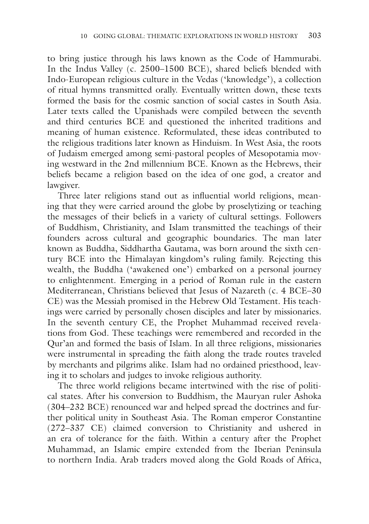to bring justice through his laws known as the Code of Hammurabi. In the Indus Valley (c. 2500–1500 BCE), shared beliefs blended with Indo-European religious culture in the Vedas ('knowledge'), a collection of ritual hymns transmitted orally. Eventually written down, these texts formed the basis for the cosmic sanction of social castes in South Asia. Later texts called the Upanishads were compiled between the seventh and third centuries BCE and questioned the inherited traditions and meaning of human existence. Reformulated, these ideas contributed to the religious traditions later known as Hinduism. In West Asia, the roots of Judaism emerged among semi-pastoral peoples of Mesopotamia moving westward in the 2nd millennium BCE. Known as the Hebrews, their beliefs became a religion based on the idea of one god, a creator and lawgiver.

Three later religions stand out as infuential world religions, meaning that they were carried around the globe by proselytizing or teaching the messages of their beliefs in a variety of cultural settings. Followers of Buddhism, Christianity, and Islam transmitted the teachings of their founders across cultural and geographic boundaries. The man later known as Buddha, Siddhartha Gautama, was born around the sixth century BCE into the Himalayan kingdom's ruling family. Rejecting this wealth, the Buddha ('awakened one') embarked on a personal journey to enlightenment. Emerging in a period of Roman rule in the eastern Mediterranean, Christians believed that Jesus of Nazareth (c. 4 BCE–30 CE) was the Messiah promised in the Hebrew Old Testament. His teachings were carried by personally chosen disciples and later by missionaries. In the seventh century CE, the Prophet Muhammad received revelations from God. These teachings were remembered and recorded in the Qur'an and formed the basis of Islam. In all three religions, missionaries were instrumental in spreading the faith along the trade routes traveled by merchants and pilgrims alike. Islam had no ordained priesthood, leaving it to scholars and judges to invoke religious authority.

The three world religions became intertwined with the rise of political states. After his conversion to Buddhism, the Mauryan ruler Ashoka (304–232 BCE) renounced war and helped spread the doctrines and further political unity in Southeast Asia. The Roman emperor Constantine (272–337 CE) claimed conversion to Christianity and ushered in an era of tolerance for the faith. Within a century after the Prophet Muhammad, an Islamic empire extended from the Iberian Peninsula to northern India. Arab traders moved along the Gold Roads of Africa,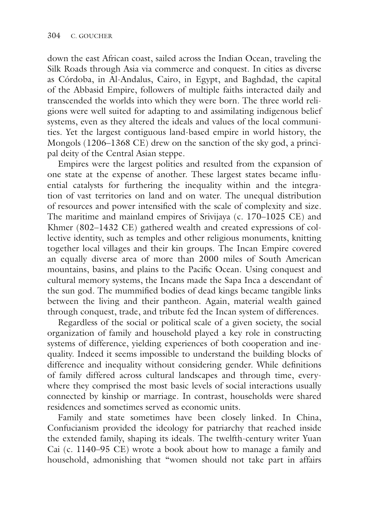down the east African coast, sailed across the Indian Ocean, traveling the Silk Roads through Asia via commerce and conquest. In cities as diverse as Córdoba, in Al-Andalus, Cairo, in Egypt, and Baghdad, the capital of the Abbasid Empire, followers of multiple faiths interacted daily and transcended the worlds into which they were born. The three world religions were well suited for adapting to and assimilating indigenous belief systems, even as they altered the ideals and values of the local communities. Yet the largest contiguous land-based empire in world history, the Mongols (1206–1368 CE) drew on the sanction of the sky god, a principal deity of the Central Asian steppe.

Empires were the largest polities and resulted from the expansion of one state at the expense of another. These largest states became infuential catalysts for furthering the inequality within and the integration of vast territories on land and on water. The unequal distribution of resources and power intensifed with the scale of complexity and size. The maritime and mainland empires of Srivijaya (c. 170–1025 CE) and Khmer (802–1432 CE) gathered wealth and created expressions of collective identity, such as temples and other religious monuments, knitting together local villages and their kin groups. The Incan Empire covered an equally diverse area of more than 2000 miles of South American mountains, basins, and plains to the Pacifc Ocean. Using conquest and cultural memory systems, the Incans made the Sapa Inca a descendant of the sun god. The mummifed bodies of dead kings became tangible links between the living and their pantheon. Again, material wealth gained through conquest, trade, and tribute fed the Incan system of differences.

Regardless of the social or political scale of a given society, the social organization of family and household played a key role in constructing systems of difference, yielding experiences of both cooperation and inequality. Indeed it seems impossible to understand the building blocks of difference and inequality without considering gender. While defnitions of family differed across cultural landscapes and through time, everywhere they comprised the most basic levels of social interactions usually connected by kinship or marriage. In contrast, households were shared residences and sometimes served as economic units.

Family and state sometimes have been closely linked. In China, Confucianism provided the ideology for patriarchy that reached inside the extended family, shaping its ideals. The twelfth-century writer Yuan Cai (c. 1140–95 CE) wrote a book about how to manage a family and household, admonishing that "women should not take part in affairs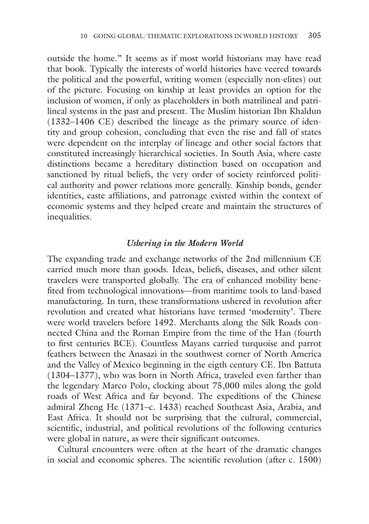outside the home." It seems as if most world historians may have read that book. Typically the interests of world histories have veered towards the political and the powerful, writing women (especially non-elites) out of the picture. Focusing on kinship at least provides an option for the inclusion of women, if only as placeholders in both matrilineal and patrilineal systems in the past and present. The Muslim historian Ibn Khaldun (1332–1406 CE) described the lineage as the primary source of identity and group cohesion, concluding that even the rise and fall of states were dependent on the interplay of lineage and other social factors that constituted increasingly hierarchical societies. In South Asia, where caste distinctions became a hereditary distinction based on occupation and sanctioned by ritual beliefs, the very order of society reinforced political authority and power relations more generally. Kinship bonds, gender identities, caste affliations, and patronage existed within the context of economic systems and they helped create and maintain the structures of inequalities.

## *Ushering in the Modern World*

The expanding trade and exchange networks of the 2nd millennium CE carried much more than goods. Ideas, beliefs, diseases, and other silent travelers were transported globally. The era of enhanced mobility benefted from technological innovations—from maritime tools to land-based manufacturing. In turn, these transformations ushered in revolution after revolution and created what historians have termed 'modernity'. There were world travelers before 1492. Merchants along the Silk Roads connected China and the Roman Empire from the time of the Han (fourth to frst centuries BCE). Countless Mayans carried turquoise and parrot feathers between the Anasazi in the southwest corner of North America and the Valley of Mexico beginning in the eigth century CE. Ibn Battuta (1304–1377), who was born in North Africa, traveled even farther than the legendary Marco Polo, clocking about 75,000 miles along the gold roads of West Africa and far beyond. The expeditions of the Chinese admiral Zheng He (1371–c. 1433) reached Southeast Asia, Arabia, and East Africa. It should not be surprising that the cultural, commercial, scientifc, industrial, and political revolutions of the following centuries were global in nature, as were their signifcant outcomes.

Cultural encounters were often at the heart of the dramatic changes in social and economic spheres. The scientifc revolution (after c. 1500)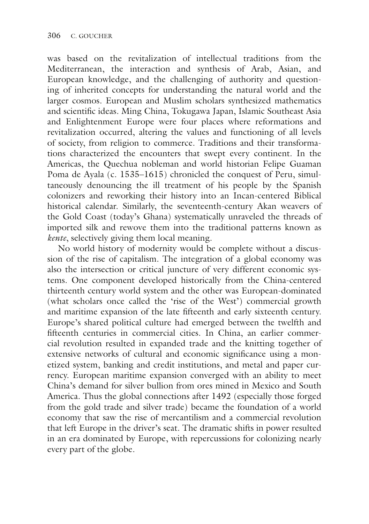was based on the revitalization of intellectual traditions from the Mediterranean, the interaction and synthesis of Arab, Asian, and European knowledge, and the challenging of authority and questioning of inherited concepts for understanding the natural world and the larger cosmos. European and Muslim scholars synthesized mathematics and scientifc ideas. Ming China, Tokugawa Japan, Islamic Southeast Asia and Enlightenment Europe were four places where reformations and revitalization occurred, altering the values and functioning of all levels of society, from religion to commerce. Traditions and their transformations characterized the encounters that swept every continent. In the Americas, the Quechua nobleman and world historian Felipe Guaman Poma de Ayala (c. 1535–1615) chronicled the conquest of Peru, simultaneously denouncing the ill treatment of his people by the Spanish colonizers and reworking their history into an Incan-centered Biblical historical calendar. Similarly, the seventeenth-century Akan weavers of the Gold Coast (today's Ghana) systematically unraveled the threads of imported silk and rewove them into the traditional patterns known as *kente*, selectively giving them local meaning.

No world history of modernity would be complete without a discussion of the rise of capitalism. The integration of a global economy was also the intersection or critical juncture of very different economic systems. One component developed historically from the China-centered thirteenth century world system and the other was European-dominated (what scholars once called the 'rise of the West') commercial growth and maritime expansion of the late ffteenth and early sixteenth century. Europe's shared political culture had emerged between the twelfth and ffteenth centuries in commercial cities. In China, an earlier commercial revolution resulted in expanded trade and the knitting together of extensive networks of cultural and economic signifcance using a monetized system, banking and credit institutions, and metal and paper currency. European maritime expansion converged with an ability to meet China's demand for silver bullion from ores mined in Mexico and South America. Thus the global connections after 1492 (especially those forged from the gold trade and silver trade) became the foundation of a world economy that saw the rise of mercantilism and a commercial revolution that left Europe in the driver's seat. The dramatic shifts in power resulted in an era dominated by Europe, with repercussions for colonizing nearly every part of the globe.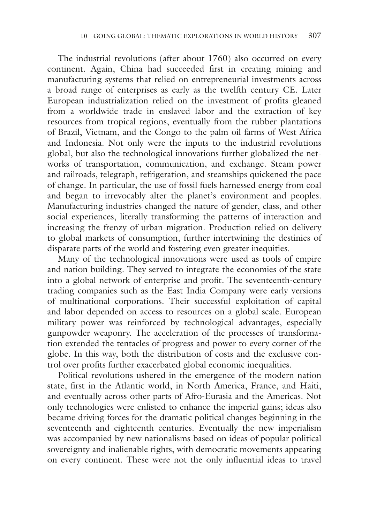The industrial revolutions (after about 1760) also occurred on every continent. Again, China had succeeded frst in creating mining and manufacturing systems that relied on entrepreneurial investments across a broad range of enterprises as early as the twelfth century CE. Later European industrialization relied on the investment of profts gleaned from a worldwide trade in enslaved labor and the extraction of key resources from tropical regions, eventually from the rubber plantations of Brazil, Vietnam, and the Congo to the palm oil farms of West Africa and Indonesia. Not only were the inputs to the industrial revolutions global, but also the technological innovations further globalized the networks of transportation, communication, and exchange. Steam power and railroads, telegraph, refrigeration, and steamships quickened the pace of change. In particular, the use of fossil fuels harnessed energy from coal and began to irrevocably alter the planet's environment and peoples. Manufacturing industries changed the nature of gender, class, and other social experiences, literally transforming the patterns of interaction and increasing the frenzy of urban migration. Production relied on delivery to global markets of consumption, further intertwining the destinies of disparate parts of the world and fostering even greater inequities.

Many of the technological innovations were used as tools of empire and nation building. They served to integrate the economies of the state into a global network of enterprise and proft. The seventeenth-century trading companies such as the East India Company were early versions of multinational corporations. Their successful exploitation of capital and labor depended on access to resources on a global scale. European military power was reinforced by technological advantages, especially gunpowder weaponry. The acceleration of the processes of transformation extended the tentacles of progress and power to every corner of the globe. In this way, both the distribution of costs and the exclusive control over profts further exacerbated global economic inequalities.

Political revolutions ushered in the emergence of the modern nation state, frst in the Atlantic world, in North America, France, and Haiti, and eventually across other parts of Afro-Eurasia and the Americas. Not only technologies were enlisted to enhance the imperial gains; ideas also became driving forces for the dramatic political changes beginning in the seventeenth and eighteenth centuries. Eventually the new imperialism was accompanied by new nationalisms based on ideas of popular political sovereignty and inalienable rights, with democratic movements appearing on every continent. These were not the only infuential ideas to travel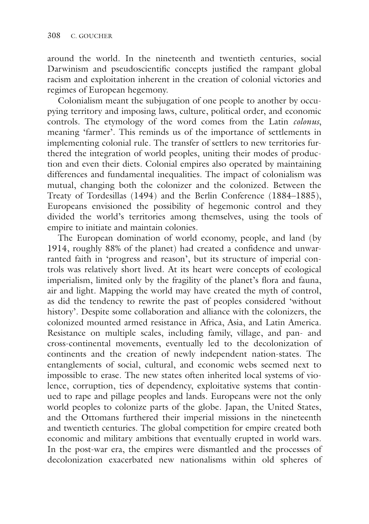around the world. In the nineteenth and twentieth centuries, social Darwinism and pseudoscientifc concepts justifed the rampant global racism and exploitation inherent in the creation of colonial victories and regimes of European hegemony.

Colonialism meant the subjugation of one people to another by occupying territory and imposing laws, culture, political order, and economic controls. The etymology of the word comes from the Latin *colonus*, meaning 'farmer'. This reminds us of the importance of settlements in implementing colonial rule. The transfer of settlers to new territories furthered the integration of world peoples, uniting their modes of production and even their diets. Colonial empires also operated by maintaining differences and fundamental inequalities. The impact of colonialism was mutual, changing both the colonizer and the colonized. Between the Treaty of Tordesillas (1494) and the Berlin Conference (1884–1885), Europeans envisioned the possibility of hegemonic control and they divided the world's territories among themselves, using the tools of empire to initiate and maintain colonies.

The European domination of world economy, people, and land (by 1914, roughly 88% of the planet) had created a confdence and unwarranted faith in 'progress and reason', but its structure of imperial controls was relatively short lived. At its heart were concepts of ecological imperialism, limited only by the fragility of the planet's flora and fauna, air and light. Mapping the world may have created the myth of control, as did the tendency to rewrite the past of peoples considered 'without history'. Despite some collaboration and alliance with the colonizers, the colonized mounted armed resistance in Africa, Asia, and Latin America. Resistance on multiple scales, including family, village, and pan- and cross-continental movements, eventually led to the decolonization of continents and the creation of newly independent nation-states. The entanglements of social, cultural, and economic webs seemed next to impossible to erase. The new states often inherited local systems of violence, corruption, ties of dependency, exploitative systems that continued to rape and pillage peoples and lands. Europeans were not the only world peoples to colonize parts of the globe. Japan, the United States, and the Ottomans furthered their imperial missions in the nineteenth and twentieth centuries. The global competition for empire created both economic and military ambitions that eventually erupted in world wars. In the post-war era, the empires were dismantled and the processes of decolonization exacerbated new nationalisms within old spheres of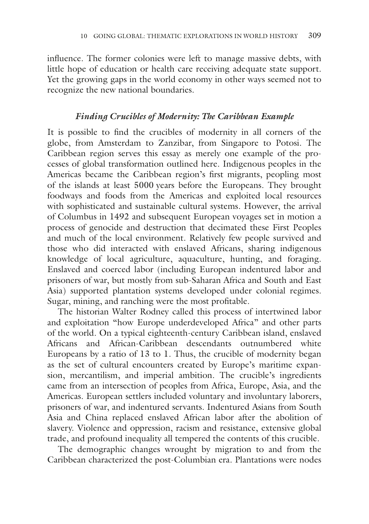infuence. The former colonies were left to manage massive debts, with little hope of education or health care receiving adequate state support. Yet the growing gaps in the world economy in other ways seemed not to recognize the new national boundaries.

# *Finding Crucibles of Modernity: The Caribbean Example*

It is possible to fnd the crucibles of modernity in all corners of the globe, from Amsterdam to Zanzibar, from Singapore to Potosi. The Caribbean region serves this essay as merely one example of the processes of global transformation outlined here. Indigenous peoples in the Americas became the Caribbean region's frst migrants, peopling most of the islands at least 5000 years before the Europeans. They brought foodways and foods from the Americas and exploited local resources with sophisticated and sustainable cultural systems. However, the arrival of Columbus in 1492 and subsequent European voyages set in motion a process of genocide and destruction that decimated these First Peoples and much of the local environment. Relatively few people survived and those who did interacted with enslaved Africans, sharing indigenous knowledge of local agriculture, aquaculture, hunting, and foraging. Enslaved and coerced labor (including European indentured labor and prisoners of war, but mostly from sub-Saharan Africa and South and East Asia) supported plantation systems developed under colonial regimes. Sugar, mining, and ranching were the most proftable.

The historian Walter Rodney called this process of intertwined labor and exploitation "how Europe underdeveloped Africa" and other parts of the world. On a typical eighteenth-century Caribbean island, enslaved Africans and African-Caribbean descendants outnumbered white Europeans by a ratio of 13 to 1. Thus, the crucible of modernity began as the set of cultural encounters created by Europe's maritime expansion, mercantilism, and imperial ambition. The crucible's ingredients came from an intersection of peoples from Africa, Europe, Asia, and the Americas. European settlers included voluntary and involuntary laborers, prisoners of war, and indentured servants. Indentured Asians from South Asia and China replaced enslaved African labor after the abolition of slavery. Violence and oppression, racism and resistance, extensive global trade, and profound inequality all tempered the contents of this crucible.

The demographic changes wrought by migration to and from the Caribbean characterized the post-Columbian era. Plantations were nodes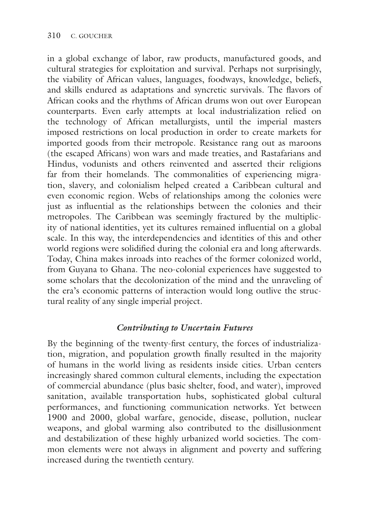in a global exchange of labor, raw products, manufactured goods, and cultural strategies for exploitation and survival. Perhaps not surprisingly, the viability of African values, languages, foodways, knowledge, beliefs, and skills endured as adaptations and syncretic survivals. The favors of African cooks and the rhythms of African drums won out over European counterparts. Even early attempts at local industrialization relied on the technology of African metallurgists, until the imperial masters imposed restrictions on local production in order to create markets for imported goods from their metropole. Resistance rang out as maroons (the escaped Africans) won wars and made treaties, and Rastafarians and Hindus, vodunists and others reinvented and asserted their religions far from their homelands. The commonalities of experiencing migration, slavery, and colonialism helped created a Caribbean cultural and even economic region. Webs of relationships among the colonies were just as infuential as the relationships between the colonies and their metropoles. The Caribbean was seemingly fractured by the multiplicity of national identities, yet its cultures remained infuential on a global scale. In this way, the interdependencies and identities of this and other world regions were solidifed during the colonial era and long afterwards. Today, China makes inroads into reaches of the former colonized world, from Guyana to Ghana. The neo-colonial experiences have suggested to some scholars that the decolonization of the mind and the unraveling of the era's economic patterns of interaction would long outlive the structural reality of any single imperial project.

## *Contributing to Uncertain Futures*

By the beginning of the twenty-frst century, the forces of industrialization, migration, and population growth fnally resulted in the majority of humans in the world living as residents inside cities. Urban centers increasingly shared common cultural elements, including the expectation of commercial abundance (plus basic shelter, food, and water), improved sanitation, available transportation hubs, sophisticated global cultural performances, and functioning communication networks. Yet between 1900 and 2000, global warfare, genocide, disease, pollution, nuclear weapons, and global warming also contributed to the disillusionment and destabilization of these highly urbanized world societies. The common elements were not always in alignment and poverty and suffering increased during the twentieth century.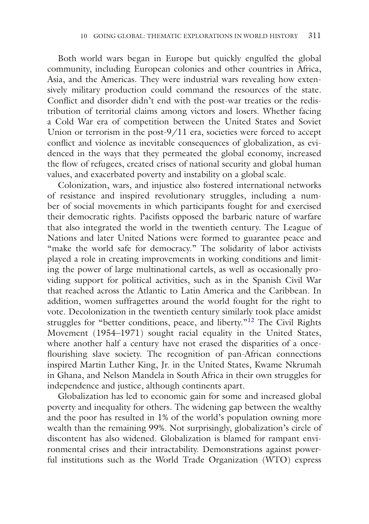Both world wars began in Europe but quickly engulfed the global community, including European colonies and other countries in Africa, Asia, and the Americas. They were industrial wars revealing how extensively military production could command the resources of the state. Confict and disorder didn't end with the post-war treaties or the redistribution of territorial claims among victors and losers. Whether facing a Cold War era of competition between the United States and Soviet Union or terrorism in the post-9/11 era, societies were forced to accept confict and violence as inevitable consequences of globalization, as evidenced in the ways that they permeated the global economy, increased the fow of refugees, created crises of national security and global human values, and exacerbated poverty and instability on a global scale.

Colonization, wars, and injustice also fostered international networks of resistance and inspired revolutionary struggles, including a number of social movements in which participants fought for and exercised their democratic rights. Pacifsts opposed the barbaric nature of warfare that also integrated the world in the twentieth century. The League of Nations and later United Nations were formed to guarantee peace and "make the world safe for democracy." The solidarity of labor activists played a role in creating improvements in working conditions and limiting the power of large multinational cartels, as well as occasionally providing support for political activities, such as in the Spanish Civil War that reached across the Atlantic to Latin America and the Caribbean. In addition, women suffragettes around the world fought for the right to vote. Decolonization in the twentieth century similarly took place amidst struggles for "better conditions, peace, and liberty."<sup>12</sup> The Civil Rights Movement (1954–1971) sought racial equality in the United States, where another half a century have not erased the disparities of a oncefourishing slave society. The recognition of pan-African connections inspired Martin Luther King, Jr. in the United States, Kwame Nkrumah in Ghana, and Nelson Mandela in South Africa in their own struggles for independence and justice, although continents apart.

Globalization has led to economic gain for some and increased global poverty and inequality for others. The widening gap between the wealthy and the poor has resulted in 1% of the world's population owning more wealth than the remaining 99%. Not surprisingly, globalization's circle of discontent has also widened. Globalization is blamed for rampant environmental crises and their intractability. Demonstrations against powerful institutions such as the World Trade Organization (WTO) express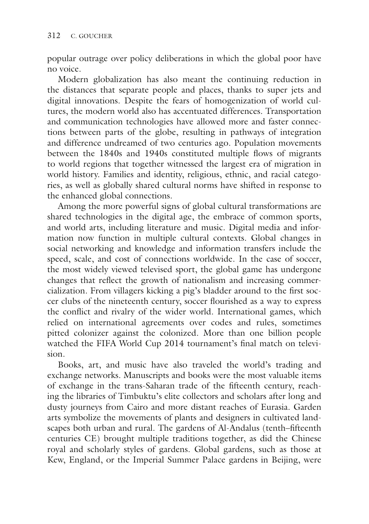popular outrage over policy deliberations in which the global poor have no voice.

Modern globalization has also meant the continuing reduction in the distances that separate people and places, thanks to super jets and digital innovations. Despite the fears of homogenization of world cultures, the modern world also has accentuated differences. Transportation and communication technologies have allowed more and faster connections between parts of the globe, resulting in pathways of integration and difference undreamed of two centuries ago. Population movements between the 1840s and 1940s constituted multiple flows of migrants to world regions that together witnessed the largest era of migration in world history. Families and identity, religious, ethnic, and racial categories, as well as globally shared cultural norms have shifted in response to the enhanced global connections.

Among the more powerful signs of global cultural transformations are shared technologies in the digital age, the embrace of common sports, and world arts, including literature and music. Digital media and information now function in multiple cultural contexts. Global changes in social networking and knowledge and information transfers include the speed, scale, and cost of connections worldwide. In the case of soccer, the most widely viewed televised sport, the global game has undergone changes that refect the growth of nationalism and increasing commercialization. From villagers kicking a pig's bladder around to the frst soccer clubs of the nineteenth century, soccer fourished as a way to express the confict and rivalry of the wider world. International games, which relied on international agreements over codes and rules, sometimes pitted colonizer against the colonized. More than one billion people watched the FIFA World Cup 2014 tournament's fnal match on television.

Books, art, and music have also traveled the world's trading and exchange networks. Manuscripts and books were the most valuable items of exchange in the trans-Saharan trade of the ffteenth century, reaching the libraries of Timbuktu's elite collectors and scholars after long and dusty journeys from Cairo and more distant reaches of Eurasia. Garden arts symbolize the movements of plants and designers in cultivated landscapes both urban and rural. The gardens of Al-Andalus (tenth–ffteenth centuries CE) brought multiple traditions together, as did the Chinese royal and scholarly styles of gardens. Global gardens, such as those at Kew, England, or the Imperial Summer Palace gardens in Beijing, were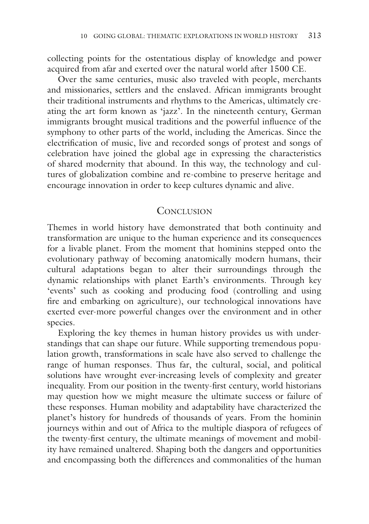collecting points for the ostentatious display of knowledge and power acquired from afar and exerted over the natural world after 1500 CE.

Over the same centuries, music also traveled with people, merchants and missionaries, settlers and the enslaved. African immigrants brought their traditional instruments and rhythms to the Americas, ultimately creating the art form known as 'jazz'. In the nineteenth century, German immigrants brought musical traditions and the powerful infuence of the symphony to other parts of the world, including the Americas. Since the electrifcation of music, live and recorded songs of protest and songs of celebration have joined the global age in expressing the characteristics of shared modernity that abound. In this way, the technology and cultures of globalization combine and re-combine to preserve heritage and encourage innovation in order to keep cultures dynamic and alive.

#### CONCLUSION

Themes in world history have demonstrated that both continuity and transformation are unique to the human experience and its consequences for a livable planet. From the moment that hominins stepped onto the evolutionary pathway of becoming anatomically modern humans, their cultural adaptations began to alter their surroundings through the dynamic relationships with planet Earth's environments. Through key 'events' such as cooking and producing food (controlling and using fre and embarking on agriculture), our technological innovations have exerted ever-more powerful changes over the environment and in other species.

Exploring the key themes in human history provides us with understandings that can shape our future. While supporting tremendous population growth, transformations in scale have also served to challenge the range of human responses. Thus far, the cultural, social, and political solutions have wrought ever-increasing levels of complexity and greater inequality. From our position in the twenty-frst century, world historians may question how we might measure the ultimate success or failure of these responses. Human mobility and adaptability have characterized the planet's history for hundreds of thousands of years. From the hominin journeys within and out of Africa to the multiple diaspora of refugees of the twenty-frst century, the ultimate meanings of movement and mobility have remained unaltered. Shaping both the dangers and opportunities and encompassing both the differences and commonalities of the human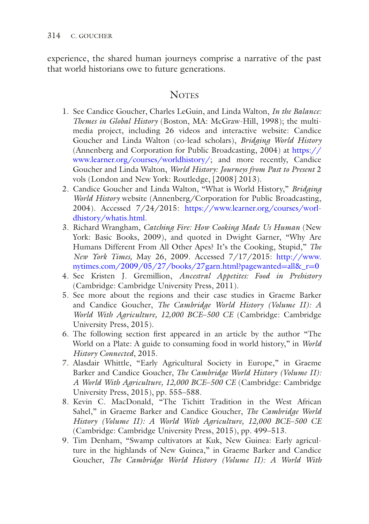experience, the shared human journeys comprise a narrative of the past that world historians owe to future generations.

# <span id="page-23-0"></span>**NOTES**

- 1. See Candice Goucher, Charles LeGuin, and Linda Walton, *In the Balance: Themes in Global History* (Boston, MA: McGraw-Hill, 1998); the multimedia project, including 26 videos and interactive website: Candice Goucher and Linda Walton (co-lead scholars), *Bridging World History* (Annenberg and Corporation for Public Broadcasting, 2004) at [https://](https://www.learner.org/courses/worldhistory/) [www.learner.org/courses/worldhistory/](https://www.learner.org/courses/worldhistory/); and more recently, Candice Goucher and Linda Walton, *World History: Journeys from Past to Present* 2 vols (London and New York: Routledge, [2008] 2013).
- 2. Candice Goucher and Linda Walton, "What is World History," *Bridging World History* website (Annenberg/Corporation for Public Broadcasting, 2004). Accessed 7/24/2015: [https://www.learner.org/courses/worl](https://www.learner.org/courses/worldhistory/whatis.html)[dhistory/whatis.html.](https://www.learner.org/courses/worldhistory/whatis.html)
- 3. Richard Wrangham, *Catching Fire: How Cooking Made Us Human* (New York: Basic Books, 2009), and quoted in Dwight Garner, "Why Are Humans Different From All Other Apes? It's the Cooking, Stupid," *The New York Times,* May 26, 2009. Accessed 7/17/2015: [http://www.](http://www.nytimes.com/2009/05/27/books/27garn.html%3fpagewanted%3dall%26_r%3d0) [nytimes.com/2009/05/27/books/27garn.html?pagewanted](http://www.nytimes.com/2009/05/27/books/27garn.html%3fpagewanted%3dall%26_r%3d0)=all&\_r=0
- 4. See Kristen J. Gremillion, *Ancestral Appetites: Food in Prehistory* (Cambridge: Cambridge University Press, 2011).
- 5. See more about the regions and their case studies in Graeme Barker and Candice Goucher, *The Cambridge World History (Volume II): A World With Agriculture, 12,000 BCE*–*500 CE* (Cambridge: Cambridge University Press, 2015).
- 6. The following section frst appeared in an article by the author "The World on a Plate: A guide to consuming food in world history," in *World History Connected*, 2015.
- 7. Alasdair Whittle, "Early Agricultural Society in Europe," in Graeme Barker and Candice Goucher, *The Cambridge World History (Volume II): A World With Agriculture, 12,000 BCE*–*500 CE* (Cambridge: Cambridge University Press, 2015), pp. 555–588.
- 8. Kevin C. MacDonald, "The Tichitt Tradition in the West African Sahel," in Graeme Barker and Candice Goucher, *The Cambridge World History (Volume II): A World With Agriculture, 12,000 BCE*–*500 CE* (Cambridge: Cambridge University Press, 2015), pp. 499–513.
- 9. Tim Denham, "Swamp cultivators at Kuk, New Guinea: Early agriculture in the highlands of New Guinea," in Graeme Barker and Candice Goucher, *The Cambridge World History (Volume II): A World With*